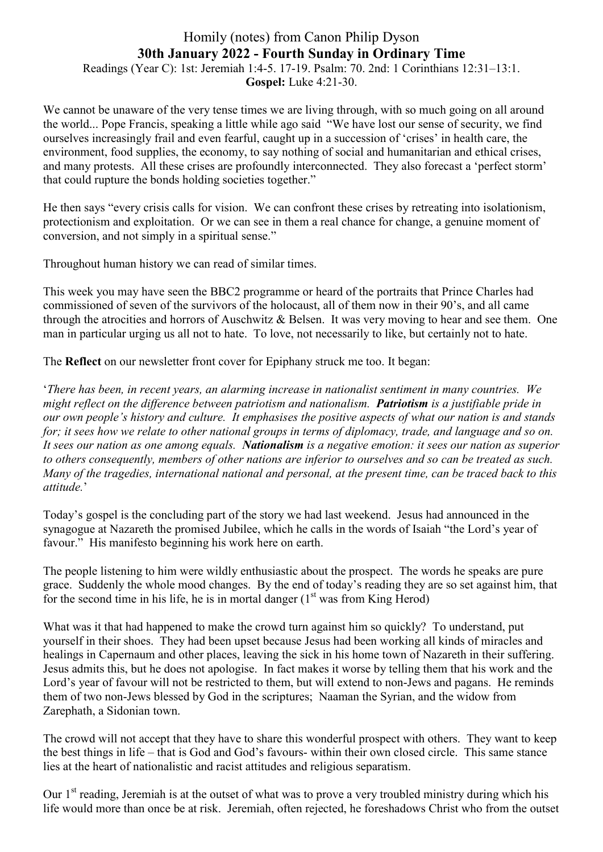## Homily (notes) from Canon Philip Dyson **30th January 2022 - Fourth Sunday in Ordinary Time** Readings (Year C): 1st: Jeremiah 1:4-5. 17-19. Psalm: 70. 2nd: 1 Corinthians 12:31–13:1.

**Gospel:** Luke 4:21-30.

We cannot be unaware of the very tense times we are living through, with so much going on all around the world... Pope Francis, speaking a little while ago said "We have lost our sense of security, we find ourselves increasingly frail and even fearful, caught up in a succession of 'crises' in health care, the environment, food supplies, the economy, to say nothing of social and humanitarian and ethical crises, and many protests. All these crises are profoundly interconnected. They also forecast a 'perfect storm' that could rupture the bonds holding societies together."

He then says "every crisis calls for vision. We can confront these crises by retreating into isolationism, protectionism and exploitation. Or we can see in them a real chance for change, a genuine moment of conversion, and not simply in a spiritual sense."

Throughout human history we can read of similar times.

This week you may have seen the BBC2 programme or heard of the portraits that Prince Charles had commissioned of seven of the survivors of the holocaust, all of them now in their 90's, and all came through the atrocities and horrors of Auschwitz & Belsen. It was very moving to hear and see them. One man in particular urging us all not to hate. To love, not necessarily to like, but certainly not to hate.

The **Reflect** on our newsletter front cover for Epiphany struck me too. It began:

'*There has been, in recent years, an alarming increase in nationalist sentiment in many countries. We might reflect on the difference between patriotism and nationalism. Patriotism is a justifiable pride in our own people's history and culture. It emphasises the positive aspects of what our nation is and stands for; it sees how we relate to other national groups in terms of diplomacy, trade, and language and so on. It sees our nation as one among equals. Nationalism is a negative emotion: it sees our nation as superior to others consequently, members of other nations are inferior to ourselves and so can be treated as such. Many of the tragedies, international national and personal, at the present time, can be traced back to this attitude.*'

Today's gospel is the concluding part of the story we had last weekend. Jesus had announced in the synagogue at Nazareth the promised Jubilee, which he calls in the words of Isaiah "the Lord's year of favour." His manifesto beginning his work here on earth.

The people listening to him were wildly enthusiastic about the prospect. The words he speaks are pure grace. Suddenly the whole mood changes. By the end of today's reading they are so set against him, that for the second time in his life, he is in mortal danger  $(1<sup>st</sup>$  was from King Herod)

What was it that had happened to make the crowd turn against him so quickly? To understand, put yourself in their shoes. They had been upset because Jesus had been working all kinds of miracles and healings in Capernaum and other places, leaving the sick in his home town of Nazareth in their suffering. Jesus admits this, but he does not apologise. In fact makes it worse by telling them that his work and the Lord's year of favour will not be restricted to them, but will extend to non-Jews and pagans. He reminds them of two non-Jews blessed by God in the scriptures; Naaman the Syrian, and the widow from Zarephath, a Sidonian town.

The crowd will not accept that they have to share this wonderful prospect with others. They want to keep the best things in life – that is God and God's favours- within their own closed circle. This same stance lies at the heart of nationalistic and racist attitudes and religious separatism.

Our 1<sup>st</sup> reading, Jeremiah is at the outset of what was to prove a very troubled ministry during which his life would more than once be at risk. Jeremiah, often rejected, he foreshadows Christ who from the outset